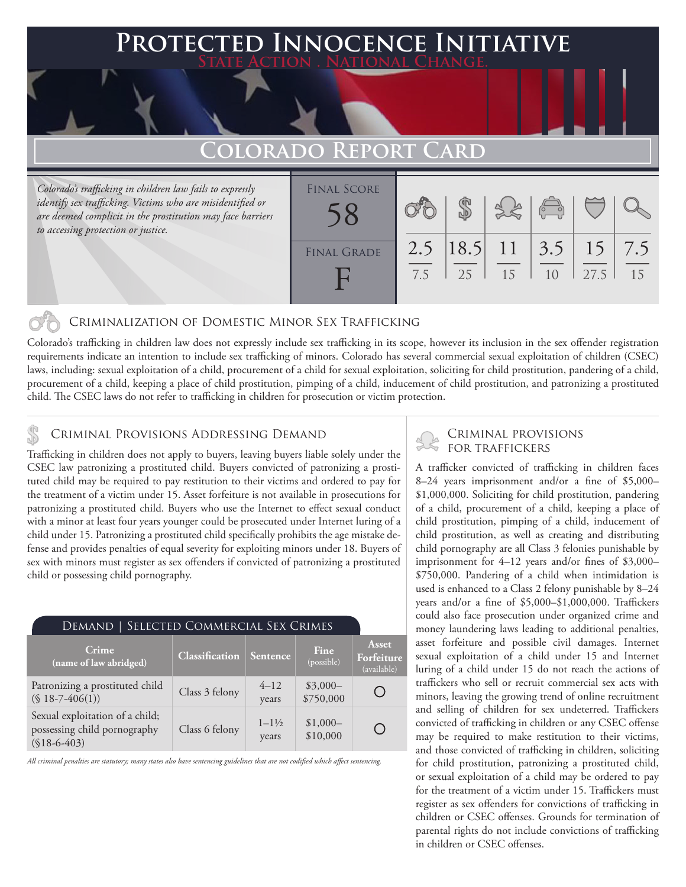## **PTED INNOCENCE INITIATIVE State Action . National Change.**

## **Colorado Report Card**

*Colorado's trafficking in children law fails to expressly identify sex trafficking. Victims who are misidentified or are deemed complicit in the prostitution may face barriers to accessing protection or justice.*

| <b>FINAL SCORE</b> |            |    |                           | $\overset{\text{def}}{=}$ |            |           |
|--------------------|------------|----|---------------------------|---------------------------|------------|-----------|
| <b>FINAL GRADE</b> | 2.5<br>7.5 | 25 | $ 18.5 $ 11   3.5  <br>15 | 1 <sub>0</sub>            | 15<br>27.5 | 7.5<br>15 |

### Criminalization of Domestic Minor Sex Trafficking

Colorado's trafficking in children law does not expressly include sex trafficking in its scope, however its inclusion in the sex offender registration requirements indicate an intention to include sex trafficking of minors. Colorado has several commercial sexual exploitation of children (CSEC) laws, including: sexual exploitation of a child, procurement of a child for sexual exploitation, soliciting for child prostitution, pandering of a child, procurement of a child, keeping a place of child prostitution, pimping of a child, inducement of child prostitution, and patronizing a prostituted child. The CSEC laws do not refer to trafficking in children for prosecution or victim protection.

## CRIMINAL PROVISIONS ADDRESSING DEMAND<br>FOR TRAFFICKERS

Trafficking in children does not apply to buyers, leaving buyers liable solely under the CSEC law patronizing a prostituted child. Buyers convicted of patronizing a prostituted child may be required to pay restitution to their victims and ordered to pay for the treatment of a victim under 15. Asset forfeiture is not available in prosecutions for patronizing a prostituted child. Buyers who use the Internet to effect sexual conduct with a minor at least four years younger could be prosecuted under Internet luring of a child under 15. Patronizing a prostituted child specifically prohibits the age mistake defense and provides penalties of equal severity for exploiting minors under 18. Buyers of sex with minors must register as sex offenders if convicted of patronizing a prostituted child or possessing child pornography.

| DEMAND   SELECTED COMMERCIAL SEX CRIMES                                          |                       |                             |                        |                                    |  |  |  |
|----------------------------------------------------------------------------------|-----------------------|-----------------------------|------------------------|------------------------------------|--|--|--|
| Crime<br>(name of law abridged)                                                  | <b>Classification</b> | <b>Sentence</b>             | Fine<br>(possible)     | Asset<br>Forfeiture<br>(available) |  |  |  |
| Patronizing a prostituted child<br>$($18-7-406(1))$                              | Class 3 felony        | $4 - 12$<br>years           | $$3,000-$<br>\$750,000 |                                    |  |  |  |
| Sexual exploitation of a child;<br>possessing child pornography<br>$($18-6-403)$ | Class 6 felony        | $1 - 1\frac{1}{2}$<br>years | $$1,000-$<br>\$10,000  |                                    |  |  |  |

*All criminal penalties are statutory; many states also have sentencing guidelines that are not codified which affect sentencing.* 

# Criminal provisions

A trafficker convicted of trafficking in children faces 8–24 years imprisonment and/or a fine of \$5,000– \$1,000,000. Soliciting for child prostitution, pandering of a child, procurement of a child, keeping a place of child prostitution, pimping of a child, inducement of child prostitution, as well as creating and distributing child pornography are all Class 3 felonies punishable by imprisonment for 4–12 years and/or fines of \$3,000– \$750,000. Pandering of a child when intimidation is used is enhanced to a Class 2 felony punishable by 8–24 years and/or a fine of \$5,000–\$1,000,000. Traffickers could also face prosecution under organized crime and money laundering laws leading to additional penalties, asset forfeiture and possible civil damages. Internet sexual exploitation of a child under 15 and Internet luring of a child under 15 do not reach the actions of traffickers who sell or recruit commercial sex acts with minors, leaving the growing trend of online recruitment and selling of children for sex undeterred. Traffickers convicted of trafficking in children or any CSEC offense may be required to make restitution to their victims, and those convicted of trafficking in children, soliciting for child prostitution, patronizing a prostituted child, or sexual exploitation of a child may be ordered to pay for the treatment of a victim under 15. Traffickers must register as sex offenders for convictions of trafficking in children or CSEC offenses. Grounds for termination of parental rights do not include convictions of trafficking in children or CSEC offenses.